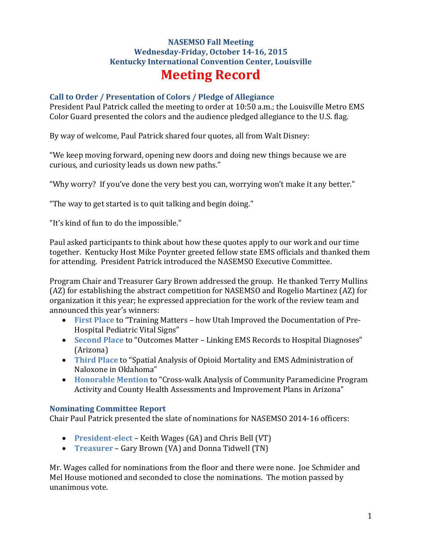# **NASEMSO Fall Meeting Wednesday-Friday, October 14-16, 2015 Kentucky International Convention Center, Louisville Meeting Record**

#### **Call to Order / Presentation of Colors / Pledge of Allegiance**

President Paul Patrick called the meeting to order at 10:50 a.m.; the Louisville Metro EMS Color Guard presented the colors and the audience pledged allegiance to the U.S. flag.

By way of welcome, Paul Patrick shared four quotes, all from Walt Disney:

"We keep moving forward, opening new doors and doing new things because we are curious, and curiosity leads us down new paths."

"Why worry? If you've done the very best you can, worrying won't make it any better."

"The way to get started is to quit talking and begin doing."

"It's kind of fun to do the impossible."

Paul asked participants to think about how these quotes apply to our work and our time together. Kentucky Host Mike Poynter greeted fellow state EMS officials and thanked them for attending. President Patrick introduced the NASEMSO Executive Committee.

Program Chair and Treasurer Gary Brown addressed the group. He thanked Terry Mullins (AZ) for establishing the abstract competition for NASEMSO and Rogelio Martinez (AZ) for organization it this year; he expressed appreciation for the work of the review team and announced this year's winners:

- **First Place** to "Training Matters how Utah Improved the Documentation of Pre-Hospital Pediatric Vital Signs"
- **Second Place** to "Outcomes Matter Linking EMS Records to Hospital Diagnoses" (Arizona)
- **Third Place** to "Spatial Analysis of Opioid Mortality and EMS Administration of Naloxone in Oklahoma"
- **Honorable Mention** to "Cross-walk Analysis of Community Paramedicine Program Activity and County Health Assessments and Improvement Plans in Arizona"

#### **Nominating Committee Report**

Chair Paul Patrick presented the slate of nominations for NASEMSO 2014-16 officers:

- **President-elect** Keith Wages (GA) and Chris Bell (VT)
- **Treasurer** Gary Brown (VA) and Donna Tidwell (TN)

Mr. Wages called for nominations from the floor and there were none. Joe Schmider and Mel House motioned and seconded to close the nominations. The motion passed by unanimous vote.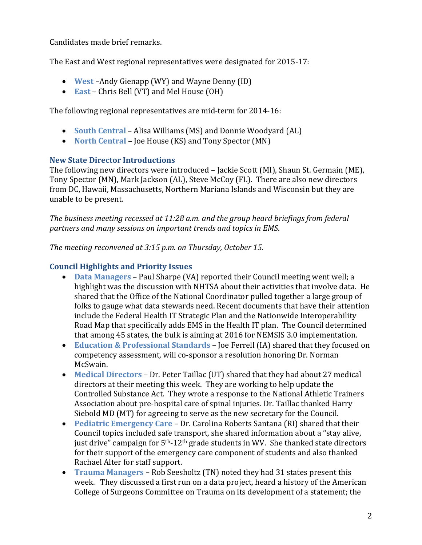Candidates made brief remarks.

The East and West regional representatives were designated for 2015-17:

- **West** –Andy Gienapp (WY) and Wayne Denny (ID)
- **East** Chris Bell (VT) and Mel House (OH)

The following regional representatives are mid-term for 2014-16:

- **South Central** Alisa Williams (MS) and Donnie Woodyard (AL)
- **North Central** Joe House (KS) and Tony Spector (MN)

### **New State Director Introductions**

The following new directors were introduced – Jackie Scott (MI), Shaun St. Germain (ME), Tony Spector (MN), Mark Jackson (AL), Steve McCoy (FL). There are also new directors from DC, Hawaii, Massachusetts, Northern Mariana Islands and Wisconsin but they are unable to be present.

*The business meeting recessed at 11:28 a.m. and the group heard briefings from federal partners and many sessions on important trends and topics in EMS*.

*The meeting reconvened at 3:15 p.m. on Thursday, October 15.*

## **Council Highlights and Priority Issues**

- **Data Managers** Paul Sharpe (VA) reported their Council meeting went well; a highlight was the discussion with NHTSA about their activities that involve data. He shared that the Office of the National Coordinator pulled together a large group of folks to gauge what data stewards need. Recent documents that have their attention include the Federal Health IT Strategic Plan and the Nationwide Interoperability Road Map that specifically adds EMS in the Health IT plan. The Council determined that among 45 states, the bulk is aiming at 2016 for NEMSIS 3.0 implementation.
- **Education & Professional Standards** Joe Ferrell (IA) shared that they focused on competency assessment, will co-sponsor a resolution honoring Dr. Norman McSwain.
- **Medical Directors** Dr. Peter Taillac (UT) shared that they had about 27 medical directors at their meeting this week. They are working to help update the Controlled Substance Act. They wrote a response to the National Athletic Trainers Association about pre-hospital care of spinal injuries. Dr. Taillac thanked Harry Siebold MD (MT) for agreeing to serve as the new secretary for the Council.
- **Pediatric Emergency Care** Dr. Carolina Roberts Santana (RI) shared that their Council topics included safe transport, she shared information about a "stay alive, just drive" campaign for  $5<sup>th-12<sup>th</sup></sup>$  grade students in WV. She thanked state directors for their support of the emergency care component of students and also thanked Rachael Alter for staff support.
- **Trauma Managers** Rob Seesholtz (TN) noted they had 31 states present this week. They discussed a first run on a data project, heard a history of the American College of Surgeons Committee on Trauma on its development of a statement; the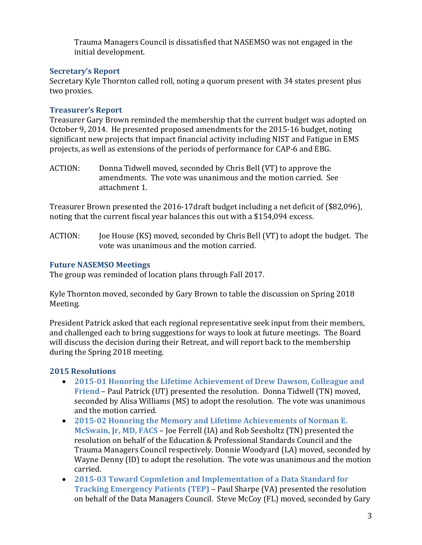Trauma Managers Council is dissatisfied that NASEMSO was not engaged in the initial development.

## **Secretary's Report**

Secretary Kyle Thornton called roll, noting a quorum present with 34 states present plus two proxies.

## **Treasurer's Report**

Treasurer Gary Brown reminded the membership that the current budget was adopted on October 9, 2014. He presented proposed amendments for the 2015-16 budget, noting significant new projects that impact financial activity including NIST and Fatigue in EMS projects, as well as extensions of the periods of performance for CAP-6 and EBG.

ACTION: Donna Tidwell moved, seconded by Chris Bell (VT) to approve the amendments. The vote was unanimous and the motion carried. See attachment 1.

Treasurer Brown presented the 2016-17draft budget including a net deficit of (\$82,096), noting that the current fiscal year balances this out with a \$154,094 excess.

ACTION: Joe House (KS) moved, seconded by Chris Bell (VT) to adopt the budget. The vote was unanimous and the motion carried.

## **Future NASEMSO Meetings**

The group was reminded of location plans through Fall 2017.

Kyle Thornton moved, seconded by Gary Brown to table the discussion on Spring 2018 Meeting.

President Patrick asked that each regional representative seek input from their members, and challenged each to bring suggestions for ways to look at future meetings. The Board will discuss the decision during their Retreat, and will report back to the membership during the Spring 2018 meeting.

## **2015 Resolutions**

- **2015-01 Honoring the Lifetime Achievement of Drew Dawson, Colleague and Friend** – Paul Patrick (UT) presented the resolution. Donna Tidwell (TN) moved, seconded by Alisa Williams (MS) to adopt the resolution. The vote was unanimous and the motion carried.
- **2015-02 Honoring the Memory and Lifetime Achievements of Norman E. McSwain, Jr, MD, FACS** – Joe Ferrell (IA) and Rob Seesholtz (TN) presented the resolution on behalf of the Education & Professional Standards Council and the Trauma Managers Council respectively. Donnie Woodyard (LA) moved, seconded by Wayne Denny (ID) to adopt the resolution. The vote was unanimous and the motion carried.
- **2015-03 Toward Copmletion and Implementation of a Data Standard for Tracking Emergency Patients (TEP)** – Paul Sharpe (VA) presented the resolution on behalf of the Data Managers Council. Steve McCoy (FL) moved, seconded by Gary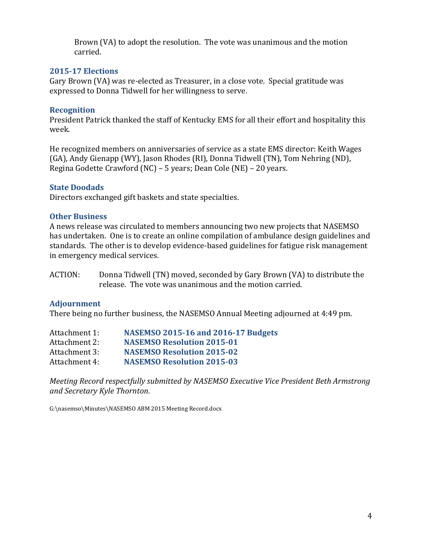Brown (VA) to adopt the resolution. The vote was unanimous and the motion carried.

#### **2015-17 Elections**

Gary Brown (VA) was re-elected as Treasurer, in a close vote. Special gratitude was expressed to Donna Tidwell for her willingness to serve.

#### **Recognition**

President Patrick thanked the staff of Kentucky EMS for all their effort and hospitality this week.

He recognized members on anniversaries of service as a state EMS director: Keith Wages (GA), Andy Gienapp (WY), Jason Rhodes (RI), Donna Tidwell (TN), Tom Nehring (ND), Regina Godette Crawford (NC) – 5 years; Dean Cole (NE) – 20 years.

#### **State Doodads**

Directors exchanged gift baskets and state specialties.

#### **Other Business**

A news release was circulated to members announcing two new projects that NASEMSO has undertaken. One is to create an online compilation of ambulance design guidelines and standards. The other is to develop evidence-based guidelines for fatigue risk management in emergency medical services.

ACTION: Donna Tidwell (TN) moved, seconded by Gary Brown (VA) to distribute the release. The vote was unanimous and the motion carried.

#### **Adjournment**

There being no further business, the NASEMSO Annual Meeting adjourned at 4:49 pm.

| Attachment 1: | <b>NASEMSO 2015-16 and 2016-17 Budgets</b> |
|---------------|--------------------------------------------|
| Attachment 2: | <b>NASEMSO Resolution 2015-01</b>          |
| Attachment 3: | <b>NASEMSO Resolution 2015-02</b>          |
| Attachment 4: | <b>NASEMSO Resolution 2015-03</b>          |

*Meeting Record respectfully submitted by NASEMSO Executive Vice President Beth Armstrong and Secretary Kyle Thornton.*

G:\nasemso\Minutes\NASEMSO ABM 2015 Meeting Record.docx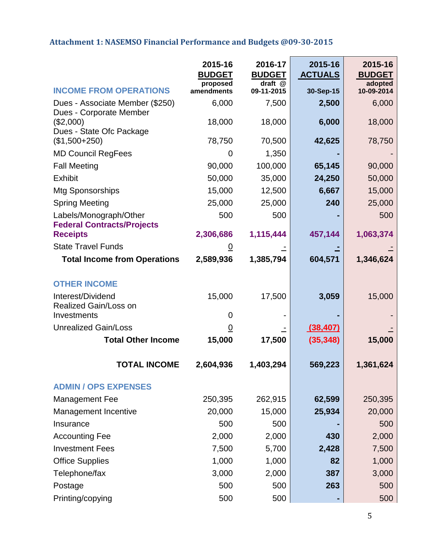# **Attachment 1: NASEMSO Financial Performance and Budgets @09-30-2015**

|                                                             | 2015-16<br><b>BUDGET</b> | 2016-17<br><b>BUDGET</b> | 2015-16<br><b>ACTUALS</b> | 2015-16<br><b>BUDGET</b> |
|-------------------------------------------------------------|--------------------------|--------------------------|---------------------------|--------------------------|
| <b>INCOME FROM OPERATIONS</b>                               | proposed<br>amendments   | draft @<br>09-11-2015    | 30-Sep-15                 | adopted<br>10-09-2014    |
| Dues - Associate Member (\$250)<br>Dues - Corporate Member  | 6,000                    | 7,500                    | 2,500                     | 6,000                    |
| (\$2,000)<br>Dues - State Ofc Package                       | 18,000                   | 18,000                   | 6,000                     | 18,000                   |
| $($1,500+250)$                                              | 78,750                   | 70,500                   | 42,625                    | 78,750                   |
| <b>MD Council RegFees</b>                                   | 0                        | 1,350                    |                           |                          |
| <b>Fall Meeting</b>                                         | 90,000                   | 100,000                  | 65,145                    | 90,000                   |
| <b>Exhibit</b>                                              | 50,000                   | 35,000                   | 24,250                    | 50,000                   |
| Mtg Sponsorships                                            | 15,000                   | 12,500                   | 6,667                     | 15,000                   |
| <b>Spring Meeting</b>                                       | 25,000                   | 25,000                   | 240                       | 25,000                   |
| Labels/Monograph/Other<br><b>Federal Contracts/Projects</b> | 500                      | 500                      |                           | 500                      |
| <b>Receipts</b>                                             | 2,306,686                | 1,115,444                | 457,144                   | 1,063,374                |
| <b>State Travel Funds</b>                                   | $\underline{0}$          |                          |                           |                          |
| <b>Total Income from Operations</b>                         | 2,589,936                | 1,385,794                | 604,571                   | 1,346,624                |
| <b>OTHER INCOME</b>                                         |                          |                          |                           |                          |
| Interest/Dividend                                           | 15,000                   | 17,500                   | 3,059                     | 15,000                   |
| Realized Gain/Loss on                                       |                          |                          |                           |                          |
| Investments                                                 | 0                        |                          |                           |                          |
| <b>Unrealized Gain/Loss</b>                                 | <u>0</u>                 |                          | (38, 407)                 |                          |
| <b>Total Other Income</b>                                   | 15,000                   | 17,500                   | (35, 348)                 | 15,000                   |
| TOTAI INCOMF                                                | 2,604,936                | 1,403,294                | 569,223                   | 1,361,624                |
| <b>ADMIN / OPS EXPENSES</b>                                 |                          |                          |                           |                          |
| <b>Management Fee</b>                                       | 250,395                  | 262,915                  | 62,599                    | 250,395                  |
| Management Incentive                                        | 20,000                   | 15,000                   | 25,934                    | 20,000                   |
| Insurance                                                   | 500                      | 500                      |                           | 500                      |
| <b>Accounting Fee</b>                                       | 2,000                    | 2,000                    | 430                       | 2,000                    |
| <b>Investment Fees</b>                                      | 7,500                    | 5,700                    | 2,428                     | 7,500                    |
| <b>Office Supplies</b>                                      | 1,000                    | 1,000                    | 82                        | 1,000                    |
| Telephone/fax                                               | 3,000                    | 2,000                    | 387                       | 3,000                    |
| Postage                                                     | 500                      | 500                      | 263                       | 500                      |
| Printing/copying                                            | 500                      | 500                      | ٠                         | 500                      |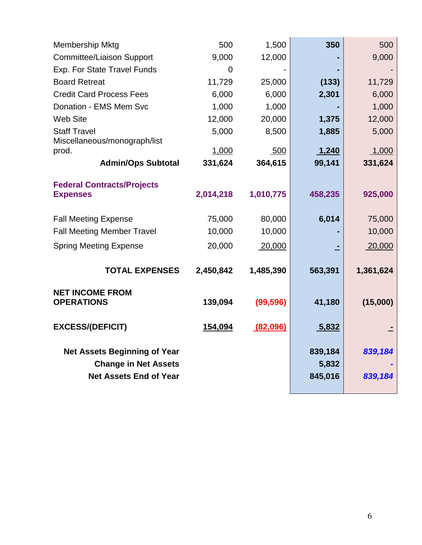| <b>Membership Mktg</b>                               | 500            | 1,500     | 350     | 500       |
|------------------------------------------------------|----------------|-----------|---------|-----------|
| <b>Committee/Liaison Support</b>                     | 9,000          | 12,000    |         | 9,000     |
| Exp. For State Travel Funds                          | $\overline{0}$ |           |         |           |
| <b>Board Retreat</b>                                 | 11,729         | 25,000    | (133)   | 11,729    |
| <b>Credit Card Process Fees</b>                      | 6,000          | 6,000     | 2,301   | 6,000     |
| Donation - EMS Mem Svc                               | 1,000          | 1,000     |         | 1,000     |
| <b>Web Site</b>                                      | 12,000         | 20,000    | 1,375   | 12,000    |
| <b>Staff Travel</b><br>Miscellaneous/monograph/list  | 5,000          | 8,500     | 1,885   | 5,000     |
| prod.                                                | 1,000          | 500       | 1,240   | 1,000     |
| <b>Admin/Ops Subtotal</b>                            | 331,624        | 364,615   | 99,141  | 331,624   |
|                                                      |                |           |         |           |
| <b>Federal Contracts/Projects</b><br><b>Expenses</b> | 2,014,218      | 1,010,775 | 458,235 | 925,000   |
| <b>Fall Meeting Expense</b>                          | 75,000         | 80,000    | 6,014   | 75,000    |
| <b>Fall Meeting Member Travel</b>                    | 10,000         | 10,000    |         | 10,000    |
| <b>Spring Meeting Expense</b>                        | 20,000         | 20,000    |         | 20,000    |
| <b>TOTAL EXPENSES</b>                                | 2,450,842      | 1,485,390 | 563,391 | 1,361,624 |
| <b>NET INCOME FROM</b><br><b>OPERATIONS</b>          | 139,094        | (99, 596) | 41,180  | (15,000)  |
| <b>EXCESS/(DEFICIT)</b>                              | 154,094        | (82,096)  | 5,832   |           |
|                                                      |                |           |         |           |
| <b>Net Assets Beginning of Year</b>                  |                |           | 839,184 | 839,184   |
| <b>Change in Net Assets</b>                          |                |           | 5,832   |           |
| <b>Net Assets End of Year</b>                        |                |           | 845,016 | 839,184   |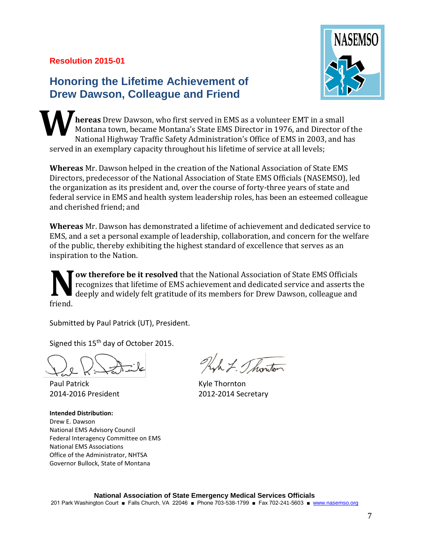# **Resolution 2015-01**

# **Honoring the Lifetime Achievement of Drew Dawson, Colleague and Friend**

**hereas** Drew Dawson, who first served in EMS as a volunteer EMT in a small Montana town, became Montana's State EMS Director in 1976, and Director of the National Highway Traffic Safety Administration's Office of EMS in 2003, and has served in an exemplary capacity throughout his lifetime of service at all levels; **W**

**Whereas** Mr. Dawson helped in the creation of the National Association of State EMS Directors, predecessor of the National Association of State EMS Officials (NASEMSO), led the organization as its president and, over the course of forty-three years of state and federal service in EMS and health system leadership roles, has been an esteemed colleague and cherished friend; and

**Whereas** Mr. Dawson has demonstrated a lifetime of achievement and dedicated service to EMS, and a set a personal example of leadership, collaboration, and concern for the welfare of the public, thereby exhibiting the highest standard of excellence that serves as an inspiration to the Nation.

**ow therefore be it resolved** that the National Association of State EMS Officials recognizes that lifetime of EMS achievement and dedicated service and asserts the deeply and widely felt gratitude of its members for Drew Dawson, colleague and friend. **N**

Submitted by Paul Patrick (UT), President.

Signed this 15<sup>th</sup> day of October 2015.

Paul Patrick Thornton

**Intended Distribution:** Drew E. Dawson National EMS Advisory Council Federal Interagency Committee on EMS National EMS Associations Office of the Administrator, NHTSA Governor Bullock, State of Montana

Kyh J. Thouton

2014-2016 President 2012-2014 Secretary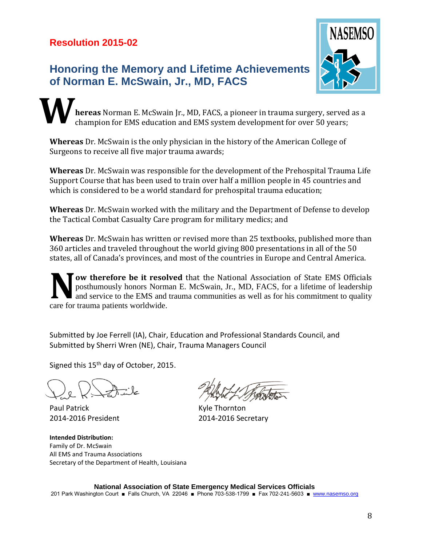# **Honoring the Memory and Lifetime Achievements of Norman E. McSwain, Jr., MD, FACS**



**hereas** Norman E. McSwain Jr., MD, FACS, a pioneer in trauma surgery, served as a champion for EMS education and EMS system development for over 50 years; **W**

**Whereas** Dr. McSwain is the only physician in the history of the American College of Surgeons to receive all five major trauma awards;

**Whereas** Dr. McSwain was responsible for the development of the Prehospital Trauma Life Support Course that has been used to train over half a million people in 45 countries and which is considered to be a world standard for prehospital trauma education;

**Whereas** Dr. McSwain worked with the military and the Department of Defense to develop the Tactical Combat Casualty Care program for military medics; and

**Whereas** Dr. McSwain has written or revised more than 25 textbooks, published more than 360 articles and traveled throughout the world giving 800 presentations in all of the 50 states, all of Canada's provinces, and most of the countries in Europe and Central America.

**ow therefore be it resolved** that the National Association of State EMS Officials posthumously honors Norman E. McSwain, Jr., MD, FACS, for a lifetime of leadership and service to the EMS and trauma communities as well as for his commitment to quality **NOW therefore be it resolution**<br>posthumously honors Norm<br>and service to the EMS and<br>care for trauma patients worldwide.

Submitted by Joe Ferrell (IA), Chair, Education and Professional Standards Council, and Submitted by Sherri Wren (NE), Chair, Trauma Managers Council

Signed this 15<sup>th</sup> day of October, 2015.

Paul Patrick **Kyle Thornton** 

**Intended Distribution:** Family of Dr. McSwain All EMS and Trauma Associations Secretary of the Department of Health, Louisiana

2014-2016 President 2014-2016 Secretary

**National Association of State Emergency Medical Services Officials** 201 Park Washington Court ■ Falls Church, VA 22046 ■ Phone 703-538-1799 ■ Fax 702-241-5603 ■ [www.nasemso.org](http://www.nasemso.org/)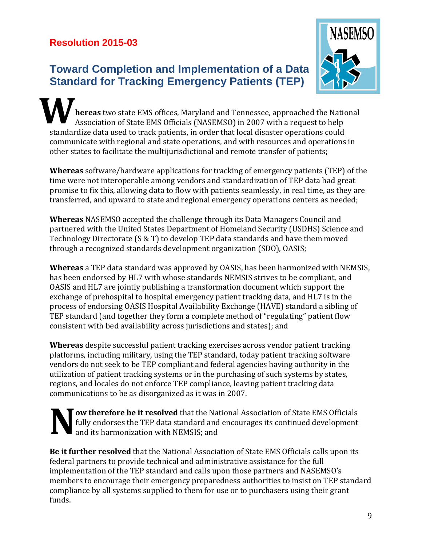# **Resolution 2015-03**

# **Toward Completion and Implementation of a Data Standard for Tracking Emergency Patients (TEP)**



**hereas** two state EMS offices, Maryland and Tennessee, approached the National Association of State EMS Officials (NASEMSO) in 2007 with a request to help standardize data used to track patients, in order that local disaster operations could communicate with regional and state operations, and with resources and operations in other states to facilitate the multijurisdictional and remote transfer of patients; **W**

**Whereas** software/hardware applications for tracking of emergency patients (TEP) of the time were not interoperable among vendors and standardization of TEP data had great promise to fix this, allowing data to flow with patients seamlessly, in real time, as they are transferred, and upward to state and regional emergency operations centers as needed;

**Whereas** NASEMSO accepted the challenge through its Data Managers Council and partnered with the United States Department of Homeland Security (USDHS) Science and Technology Directorate (S & T) to develop TEP data standards and have them moved through a recognized standards development organization (SDO), OASIS;

**Whereas** a TEP data standard was approved by OASIS, has been harmonized with NEMSIS, has been endorsed by HL7 with whose standards NEMSIS strives to be compliant, and OASIS and HL7 are jointly publishing a transformation document which support the exchange of prehospital to hospital emergency patient tracking data, and HL7 is in the process of endorsing OASIS Hospital Availability Exchange (HAVE) standard a sibling of TEP standard (and together they form a complete method of "regulating" patient flow consistent with bed availability across jurisdictions and states); and

**Whereas** despite successful patient tracking exercises across vendor patient tracking platforms, including military, using the TEP standard, today patient tracking software vendors do not seek to be TEP compliant and federal agencies having authority in the utilization of patient tracking systems or in the purchasing of such systems by states, regions, and locales do not enforce TEP compliance, leaving patient tracking data communications to be as disorganized as it was in 2007.

**ow therefore be it resolved** that the National Association of State EMS Officials fully endorses the TEP data standard and encourages its continued development and its harmonization with NEMSIS; and **N**

**Be it further resolved** that the National Association of State EMS Officials calls upon its federal partners to provide technical and administrative assistance for the full implementation of the TEP standard and calls upon those partners and NASEMSO's members to encourage their emergency preparedness authorities to insist on TEP standard compliance by all systems supplied to them for use or to purchasers using their grant funds.